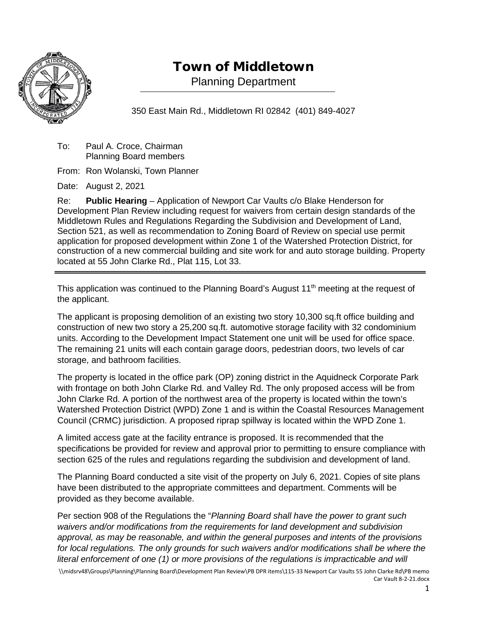

# Town of Middletown

Planning Department

350 East Main Rd., Middletown RI 02842 (401) 849-4027

To: Paul A. Croce, Chairman Planning Board members

From: Ron Wolanski, Town Planner

Date: August 2, 2021

Re: **Public Hearing** – Application of Newport Car Vaults c/o Blake Henderson for Development Plan Review including request for waivers from certain design standards of the Middletown Rules and Regulations Regarding the Subdivision and Development of Land, Section 521, as well as recommendation to Zoning Board of Review on special use permit application for proposed development within Zone 1 of the Watershed Protection District, for construction of a new commercial building and site work for and auto storage building. Property located at 55 John Clarke Rd., Plat 115, Lot 33.

This application was continued to the Planning Board's August 11<sup>th</sup> meeting at the request of the applicant.

The applicant is proposing demolition of an existing two story 10,300 sq.ft office building and construction of new two story a 25,200 sq.ft. automotive storage facility with 32 condominium units. According to the Development Impact Statement one unit will be used for office space. The remaining 21 units will each contain garage doors, pedestrian doors, two levels of car storage, and bathroom facilities.

The property is located in the office park (OP) zoning district in the Aquidneck Corporate Park with frontage on both John Clarke Rd. and Valley Rd. The only proposed access will be from John Clarke Rd. A portion of the northwest area of the property is located within the town's Watershed Protection District (WPD) Zone 1 and is within the Coastal Resources Management Council (CRMC) jurisdiction. A proposed riprap spillway is located within the WPD Zone 1.

A limited access gate at the facility entrance is proposed. It is recommended that the specifications be provided for review and approval prior to permitting to ensure compliance with section 625 of the rules and regulations regarding the subdivision and development of land.

The Planning Board conducted a site visit of the property on July 6, 2021. Copies of site plans have been distributed to the appropriate committees and department. Comments will be provided as they become available.

Per section 908 of the Regulations the "*Planning Board shall have the power to grant such waivers and/or modifications from the requirements for land development and subdivision approval, as may be reasonable, and within the general purposes and intents of the provisions*  for local regulations. The only grounds for such waivers and/or modifications shall be where the *literal enforcement of one (1) or more provisions of the regulations is impracticable and will* 

<sup>\\</sup>midsrv48\Groups\Planning\Planning Board\Development Plan Review\PB DPR items\115-33 Newport Car Vaults 55 John Clarke Rd\PB memo Car Vault 8-2-21.docx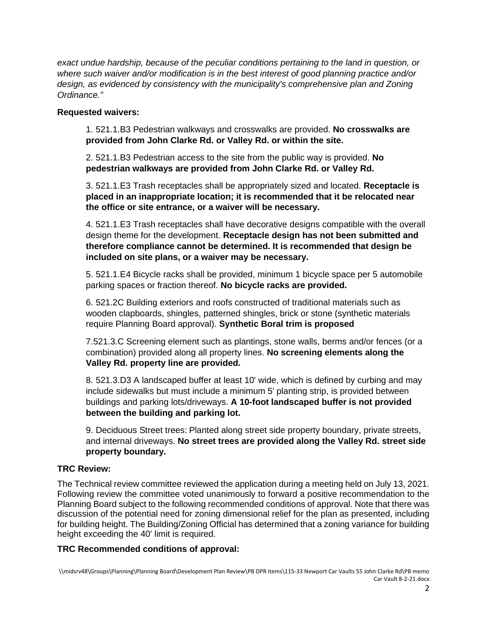*exact undue hardship, because of the peculiar conditions pertaining to the land in question, or where such waiver and/or modification is in the best interest of good planning practice and/or design, as evidenced by consistency with the municipality's comprehensive plan and Zoning Ordinance."*

#### **Requested waivers:**

1. 521.1.B3 Pedestrian walkways and crosswalks are provided. **No crosswalks are provided from John Clarke Rd. or Valley Rd. or within the site.**

2. 521.1.B3 Pedestrian access to the site from the public way is provided. **No pedestrian walkways are provided from John Clarke Rd. or Valley Rd.**

3. 521.1.E3 Trash receptacles shall be appropriately sized and located. **Receptacle is placed in an inappropriate location; it is recommended that it be relocated near the office or site entrance, or a waiver will be necessary.**

4. 521.1.E3 Trash receptacles shall have decorative designs compatible with the overall design theme for the development. **Receptacle design has not been submitted and therefore compliance cannot be determined. It is recommended that design be included on site plans, or a waiver may be necessary.**

5. 521.1.E4 Bicycle racks shall be provided, minimum 1 bicycle space per 5 automobile parking spaces or fraction thereof. **No bicycle racks are provided.**

6. 521.2C Building exteriors and roofs constructed of traditional materials such as wooden clapboards, shingles, patterned shingles, brick or stone (synthetic materials require Planning Board approval). **Synthetic Boral trim is proposed**

7.521.3.C Screening element such as plantings, stone walls, berms and/or fences (or a combination) provided along all property lines. **No screening elements along the Valley Rd. property line are provided.**

8. 521.3.D3 A landscaped buffer at least 10' wide, which is defined by curbing and may include sidewalks but must include a minimum 5' planting strip, is provided between buildings and parking lots/driveways. **A 10-foot landscaped buffer is not provided between the building and parking lot.**

9. Deciduous Street trees: Planted along street side property boundary, private streets, and internal driveways. **No street trees are provided along the Valley Rd. street side property boundary.**

### **TRC Review:**

The Technical review committee reviewed the application during a meeting held on July 13, 2021. Following review the committee voted unanimously to forward a positive recommendation to the Planning Board subject to the following recommended conditions of approval. Note that there was discussion of the potential need for zoning dimensional relief for the plan as presented, including for building height. The Building/Zoning Official has determined that a zoning variance for building height exceeding the 40' limit is required.

### **TRC Recommended conditions of approval:**